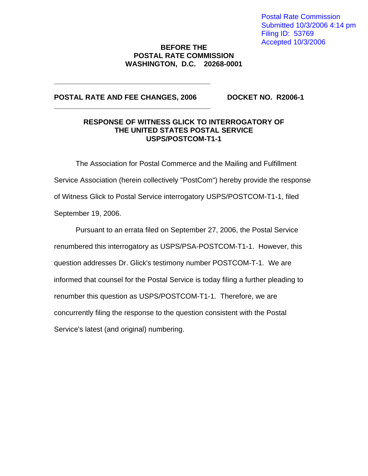Postal Rate Commission Submitted 10/3/2006 4:14 pm Filing ID: 53769 Accepted 10/3/2006

## **BEFORE THE POSTAL RATE COMMISSION WASHINGTON, D.C. 20268-0001**

## **POSTAL RATE AND FEE CHANGES, 2006 DOCKET NO. R2006-1**

**\_\_\_\_\_\_\_\_\_\_\_\_\_\_\_\_\_\_\_\_\_\_\_\_\_\_\_\_\_\_\_\_\_\_\_\_\_\_\_** 

**\_\_\_\_\_\_\_\_\_\_\_\_\_\_\_\_\_\_\_\_\_\_\_\_\_\_\_\_\_\_\_\_\_\_\_\_\_\_\_** 

#### **RESPONSE OF WITNESS GLICK TO INTERROGATORY OF THE UNITED STATES POSTAL SERVICE USPS/POSTCOM-T1-1**

 The Association for Postal Commerce and the Mailing and Fulfillment Service Association (herein collectively "PostCom") hereby provide the response of Witness Glick to Postal Service interrogatory USPS/POSTCOM-T1-1, filed September 19, 2006.

 Pursuant to an errata filed on September 27, 2006, the Postal Service renumbered this interrogatory as USPS/PSA-POSTCOM-T1-1. However, this question addresses Dr. Glick's testimony number POSTCOM-T-1. We are informed that counsel for the Postal Service is today filing a further pleading to renumber this question as USPS/POSTCOM-T1-1. Therefore, we are concurrently filing the response to the question consistent with the Postal Service's latest (and original) numbering.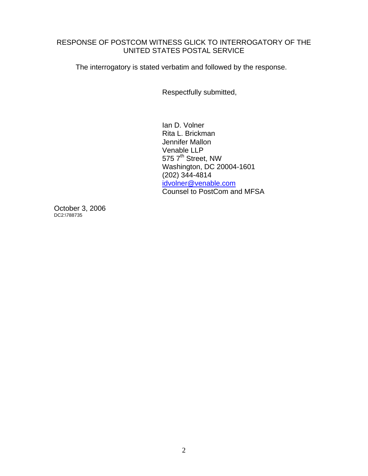## RESPONSE OF POSTCOM WITNESS GLICK TO INTERROGATORY OF THE UNITED STATES POSTAL SERVICE

The interrogatory is stated verbatim and followed by the response.

Respectfully submitted,

Ian D. Volner Rita L. Brickman Jennifer Mallon Venable LLP 575 7<sup>th</sup> Street, NW Washington, DC 20004-1601 (202) 344-4814 idvolner@venable.com Counsel to PostCom and MFSA

October 3, 2006 DC2:\788735